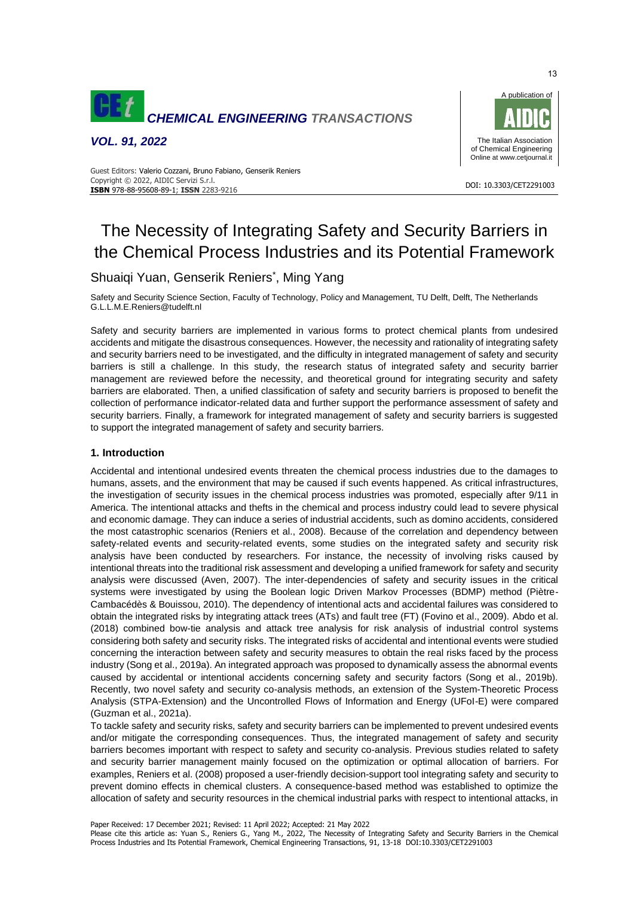

*VOL. 91, 2022*



#### DOI: 10.3303/CET2291003 **ISBN** 978-88-95608-89-1; **ISSN** 2283-9216 Guest Editors: Valerio Cozzani, Bruno Fabiano, Genserik Reniers Copyright © 2022, AIDIC Servizi S.r.l.

# The Necessity of Integrating Safety and Security Barriers in the Chemical Process Industries and its Potential Framework

## Shuaiqi Yuan, Genserik Reniers\*, Ming Yang

Safety and Security Science Section, Faculty of Technology, Policy and Management, TU Delft, Delft, The Netherlands G.L.L.M.E.Reniers@tudelft.nl

Safety and security barriers are implemented in various forms to protect chemical plants from undesired accidents and mitigate the disastrous consequences. However, the necessity and rationality of integrating safety and security barriers need to be investigated, and the difficulty in integrated management of safety and security barriers is still a challenge. In this study, the research status of integrated safety and security barrier management are reviewed before the necessity, and theoretical ground for integrating security and safety barriers are elaborated. Then, a unified classification of safety and security barriers is proposed to benefit the collection of performance indicator-related data and further support the performance assessment of safety and security barriers. Finally, a framework for integrated management of safety and security barriers is suggested to support the integrated management of safety and security barriers.

### **1. Introduction**

Accidental and intentional undesired events threaten the chemical process industries due to the damages to humans, assets, and the environment that may be caused if such events happened. As critical infrastructures, the investigation of security issues in the chemical process industries was promoted, especially after 9/11 in America. The intentional attacks and thefts in the chemical and process industry could lead to severe physical and economic damage. They can induce a series of industrial accidents, such as domino accidents, considered the most catastrophic scenarios (Reniers et al., 2008). Because of the correlation and dependency between safety-related events and security-related events, some studies on the integrated safety and security risk analysis have been conducted by researchers. For instance, the necessity of involving risks caused by intentional threats into the traditional risk assessment and developing a unified framework for safety and security analysis were discussed (Aven, 2007). The inter-dependencies of safety and security issues in the critical systems were investigated by using the Boolean logic Driven Markov Processes (BDMP) method (Piètre-Cambacédès & Bouissou, 2010). The dependency of intentional acts and accidental failures was considered to obtain the integrated risks by integrating attack trees (ATs) and fault tree (FT) (Fovino et al., 2009). Abdo et al. (2018) combined bow-tie analysis and attack tree analysis for risk analysis of industrial control systems considering both safety and security risks. The integrated risks of accidental and intentional events were studied concerning the interaction between safety and security measures to obtain the real risks faced by the process industry (Song et al., 2019a). An integrated approach was proposed to dynamically assess the abnormal events caused by accidental or intentional accidents concerning safety and security factors (Song et al., 2019b). Recently, two novel safety and security co-analysis methods, an extension of the System-Theoretic Process Analysis (STPA-Extension) and the Uncontrolled Flows of Information and Energy (UFoI-E) were compared (Guzman et al., 2021a).

To tackle safety and security risks, safety and security barriers can be implemented to prevent undesired events and/or mitigate the corresponding consequences. Thus, the integrated management of safety and security barriers becomes important with respect to safety and security co-analysis. Previous studies related to safety and security barrier management mainly focused on the optimization or optimal allocation of barriers. For examples, Reniers et al. (2008) proposed a user-friendly decision-support tool integrating safety and security to prevent domino effects in chemical clusters. A consequence-based method was established to optimize the allocation of safety and security resources in the chemical industrial parks with respect to intentional attacks, in

Paper Received: 17 December 2021; Revised: 11 April 2022; Accepted: 21 May 2022

Please cite this article as: Yuan S., Reniers G., Yang M., 2022, The Necessity of Integrating Safety and Security Barriers in the Chemical Process Industries and Its Potential Framework, Chemical Engineering Transactions, 91, 13-18 DOI:10.3303/CET2291003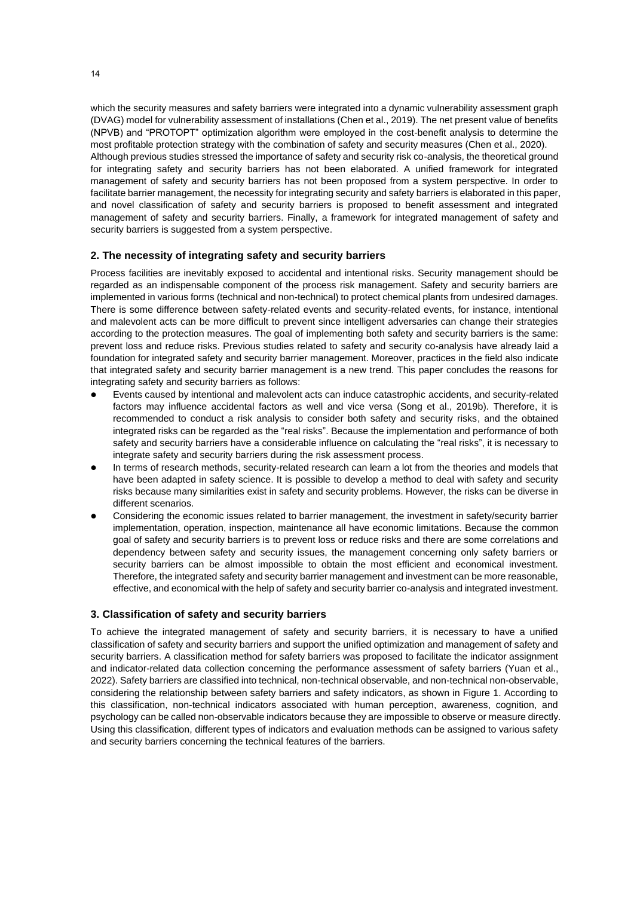which the security measures and safety barriers were integrated into a dynamic vulnerability assessment graph (DVAG) model for vulnerability assessment of installations (Chen et al., 2019). The net present value of benefits (NPVB) and "PROTOPT" optimization algorithm were employed in the cost-benefit analysis to determine the most profitable protection strategy with the combination of safety and security measures (Chen et al., 2020). Although previous studies stressed the importance of safety and security risk co-analysis, the theoretical ground for integrating safety and security barriers has not been elaborated. A unified framework for integrated management of safety and security barriers has not been proposed from a system perspective. In order to facilitate barrier management, the necessity for integrating security and safety barriers is elaborated in this paper, and novel classification of safety and security barriers is proposed to benefit assessment and integrated management of safety and security barriers. Finally, a framework for integrated management of safety and security barriers is suggested from a system perspective.

#### **2. The necessity of integrating safety and security barriers**

Process facilities are inevitably exposed to accidental and intentional risks. Security management should be regarded as an indispensable component of the process risk management. Safety and security barriers are implemented in various forms (technical and non-technical) to protect chemical plants from undesired damages. There is some difference between safety-related events and security-related events, for instance, intentional and malevolent acts can be more difficult to prevent since intelligent adversaries can change their strategies according to the protection measures. The goal of implementing both safety and security barriers is the same: prevent loss and reduce risks. Previous studies related to safety and security co-analysis have already laid a foundation for integrated safety and security barrier management. Moreover, practices in the field also indicate that integrated safety and security barrier management is a new trend. This paper concludes the reasons for integrating safety and security barriers as follows:

- ⚫ Events caused by intentional and malevolent acts can induce catastrophic accidents, and security-related factors may influence accidental factors as well and vice versa (Song et al., 2019b). Therefore, it is recommended to conduct a risk analysis to consider both safety and security risks, and the obtained integrated risks can be regarded as the "real risks". Because the implementation and performance of both safety and security barriers have a considerable influence on calculating the "real risks", it is necessary to integrate safety and security barriers during the risk assessment process.
- In terms of research methods, security-related research can learn a lot from the theories and models that have been adapted in safety science. It is possible to develop a method to deal with safety and security risks because many similarities exist in safety and security problems. However, the risks can be diverse in different scenarios.
- ⚫ Considering the economic issues related to barrier management, the investment in safety/security barrier implementation, operation, inspection, maintenance all have economic limitations. Because the common goal of safety and security barriers is to prevent loss or reduce risks and there are some correlations and dependency between safety and security issues, the management concerning only safety barriers or security barriers can be almost impossible to obtain the most efficient and economical investment. Therefore, the integrated safety and security barrier management and investment can be more reasonable, effective, and economical with the help of safety and security barrier co-analysis and integrated investment.

#### **3. Classification of safety and security barriers**

To achieve the integrated management of safety and security barriers, it is necessary to have a unified classification of safety and security barriers and support the unified optimization and management of safety and security barriers. A classification method for safety barriers was proposed to facilitate the indicator assignment and indicator-related data collection concerning the performance assessment of safety barriers (Yuan et al., 2022). Safety barriers are classified into technical, non-technical observable, and non-technical non-observable, considering the relationship between safety barriers and safety indicators, as shown in Figure 1. According to this classification, non-technical indicators associated with human perception, awareness, cognition, and psychology can be called non-observable indicators because they are impossible to observe or measure directly. Using this classification, different types of indicators and evaluation methods can be assigned to various safety and security barriers concerning the technical features of the barriers.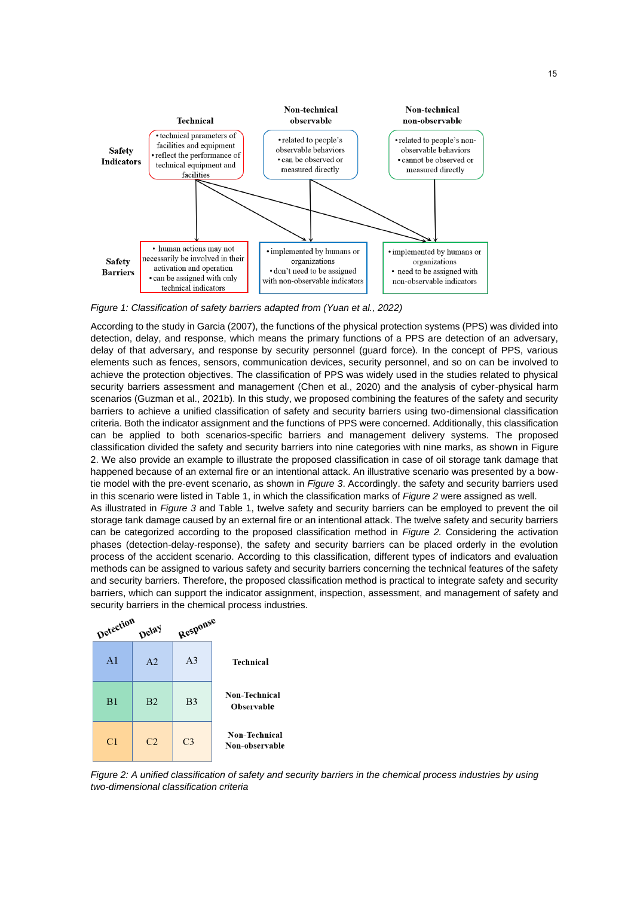

*Figure 1: Classification of safety barriers adapted from (Yuan et al., 2022)*

According to the study in Garcia (2007), the functions of the physical protection systems (PPS) was divided into detection, delay, and response, which means the primary functions of a PPS are detection of an adversary, delay of that adversary, and response by security personnel (guard force). In the concept of PPS, various elements such as fences, sensors, communication devices, security personnel, and so on can be involved to achieve the protection objectives. The classification of PPS was widely used in the studies related to physical security barriers assessment and management (Chen et al., 2020) and the analysis of cyber-physical harm scenarios (Guzman et al., 2021b). In this study, we proposed combining the features of the safety and security barriers to achieve a unified classification of safety and security barriers using two-dimensional classification criteria. Both the indicator assignment and the functions of PPS were concerned. Additionally, this classification can be applied to both scenarios-specific barriers and management delivery systems. The proposed classification divided the safety and security barriers into nine categories with nine marks, as shown in Figure 2. We also provide an example to illustrate the proposed classification in case of oil storage tank damage that happened because of an external fire or an intentional attack. An illustrative scenario was presented by a bowtie model with the pre-event scenario, as shown in *Figure 3*. Accordingly. the safety and security barriers used in this scenario were listed in Table 1, in which the classification marks of *Figure 2* were assigned as well. As illustrated in *Figure 3* and Table 1, twelve safety and security barriers can be employed to prevent the oil storage tank damage caused by an external fire or an intentional attack. The twelve safety and security barriers can be categorized according to the proposed classification method in *Figure 2.* Considering the activation phases (detection-delay-response), the safety and security barriers can be placed orderly in the evolution process of the accident scenario. According to this classification, different types of indicators and evaluation methods can be assigned to various safety and security barriers concerning the technical features of the safety and security barriers. Therefore, the proposed classification method is practical to integrate safety and security barriers, which can support the indicator assignment, inspection, assessment, and management of safety and security barriers in the chemical process industries.

|                                        | Response       | Delay          | Detection      |
|----------------------------------------|----------------|----------------|----------------|
| <b>Technical</b>                       | A <sub>3</sub> | A <sub>2</sub> | A <sub>1</sub> |
| Non-Technical<br><b>Observable</b>     | B <sub>3</sub> | B <sub>2</sub> | B1             |
| <b>Non-Technical</b><br>Non-observable | C <sub>3</sub> | C <sub>2</sub> | C1             |

*Figure 2: A unified classification of safety and security barriers in the chemical process industries by using two-dimensional classification criteria*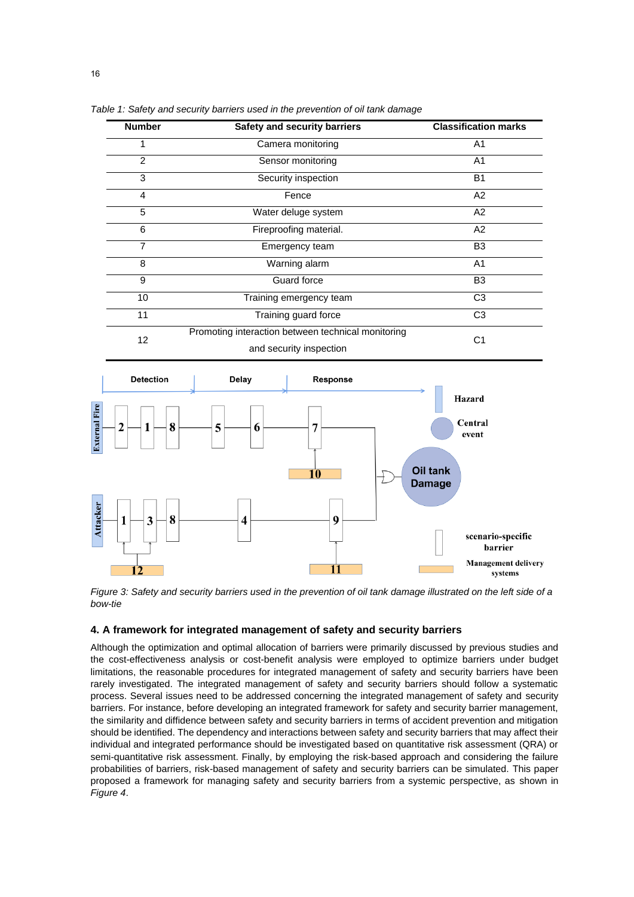| <b>Number</b>  | Safety and security barriers                       | <b>Classification marks</b> |
|----------------|----------------------------------------------------|-----------------------------|
|                | Camera monitoring                                  | A1                          |
| $\overline{2}$ | Sensor monitoring                                  | A <sub>1</sub>              |
| 3              | Security inspection                                | <b>B1</b>                   |
| 4              | Fence                                              | A2                          |
| 5              | Water deluge system                                | A <sub>2</sub>              |
| 6              | Fireproofing material.                             | A2                          |
| $\overline{7}$ | Emergency team                                     | B <sub>3</sub>              |
| 8              | Warning alarm                                      | A <sub>1</sub>              |
| 9              | <b>Guard force</b>                                 | B <sub>3</sub>              |
| 10             | Training emergency team                            | C <sub>3</sub>              |
| 11             | Training guard force                               | C <sub>3</sub>              |
| 12             | Promoting interaction between technical monitoring | C <sub>1</sub>              |
|                | and security inspection                            |                             |

*Table 1: Safety and security barriers used in the prevention of oil tank damage*



*Figure 3: Safety and security barriers used in the prevention of oil tank damage illustrated on the left side of a bow-tie*

#### **4. A framework for integrated management of safety and security barriers**

Although the optimization and optimal allocation of barriers were primarily discussed by previous studies and the cost-effectiveness analysis or cost-benefit analysis were employed to optimize barriers under budget limitations, the reasonable procedures for integrated management of safety and security barriers have been rarely investigated. The integrated management of safety and security barriers should follow a systematic process. Several issues need to be addressed concerning the integrated management of safety and security barriers. For instance, before developing an integrated framework for safety and security barrier management, the similarity and diffidence between safety and security barriers in terms of accident prevention and mitigation should be identified. The dependency and interactions between safety and security barriers that may affect their individual and integrated performance should be investigated based on quantitative risk assessment (QRA) or semi-quantitative risk assessment. Finally, by employing the risk-based approach and considering the failure probabilities of barriers, risk-based management of safety and security barriers can be simulated. This paper proposed a framework for managing safety and security barriers from a systemic perspective, as shown in *Figure 4*.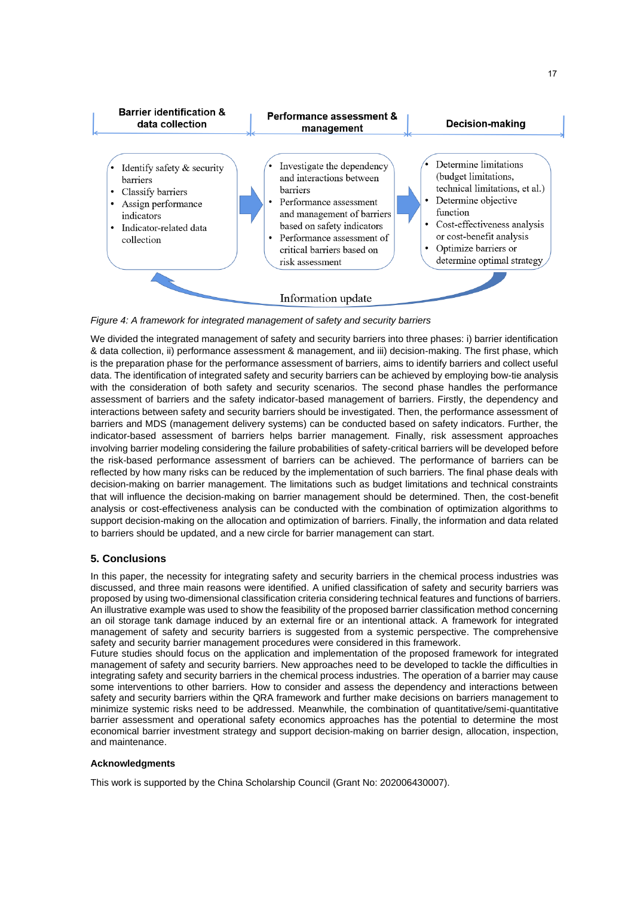

*Figure 4: A framework for integrated management of safety and security barriers*

We divided the integrated management of safety and security barriers into three phases: i) barrier identification & data collection, ii) performance assessment & management, and iii) decision-making. The first phase, which is the preparation phase for the performance assessment of barriers, aims to identify barriers and collect useful data. The identification of integrated safety and security barriers can be achieved by employing bow-tie analysis with the consideration of both safety and security scenarios. The second phase handles the performance assessment of barriers and the safety indicator-based management of barriers. Firstly, the dependency and interactions between safety and security barriers should be investigated. Then, the performance assessment of barriers and MDS (management delivery systems) can be conducted based on safety indicators. Further, the indicator-based assessment of barriers helps barrier management. Finally, risk assessment approaches involving barrier modeling considering the failure probabilities of safety-critical barriers will be developed before the risk-based performance assessment of barriers can be achieved. The performance of barriers can be reflected by how many risks can be reduced by the implementation of such barriers. The final phase deals with decision-making on barrier management. The limitations such as budget limitations and technical constraints that will influence the decision-making on barrier management should be determined. Then, the cost-benefit analysis or cost-effectiveness analysis can be conducted with the combination of optimization algorithms to support decision-making on the allocation and optimization of barriers. Finally, the information and data related to barriers should be updated, and a new circle for barrier management can start.

### **5. Conclusions**

In this paper, the necessity for integrating safety and security barriers in the chemical process industries was discussed, and three main reasons were identified. A unified classification of safety and security barriers was proposed by using two-dimensional classification criteria considering technical features and functions of barriers. An illustrative example was used to show the feasibility of the proposed barrier classification method concerning an oil storage tank damage induced by an external fire or an intentional attack. A framework for integrated management of safety and security barriers is suggested from a systemic perspective. The comprehensive safety and security barrier management procedures were considered in this framework.

Future studies should focus on the application and implementation of the proposed framework for integrated management of safety and security barriers. New approaches need to be developed to tackle the difficulties in integrating safety and security barriers in the chemical process industries. The operation of a barrier may cause some interventions to other barriers. How to consider and assess the dependency and interactions between safety and security barriers within the QRA framework and further make decisions on barriers management to minimize systemic risks need to be addressed. Meanwhile, the combination of quantitative/semi-quantitative barrier assessment and operational safety economics approaches has the potential to determine the most economical barrier investment strategy and support decision-making on barrier design, allocation, inspection, and maintenance.

### **Acknowledgments**

This work is supported by the China Scholarship Council (Grant No: 202006430007).